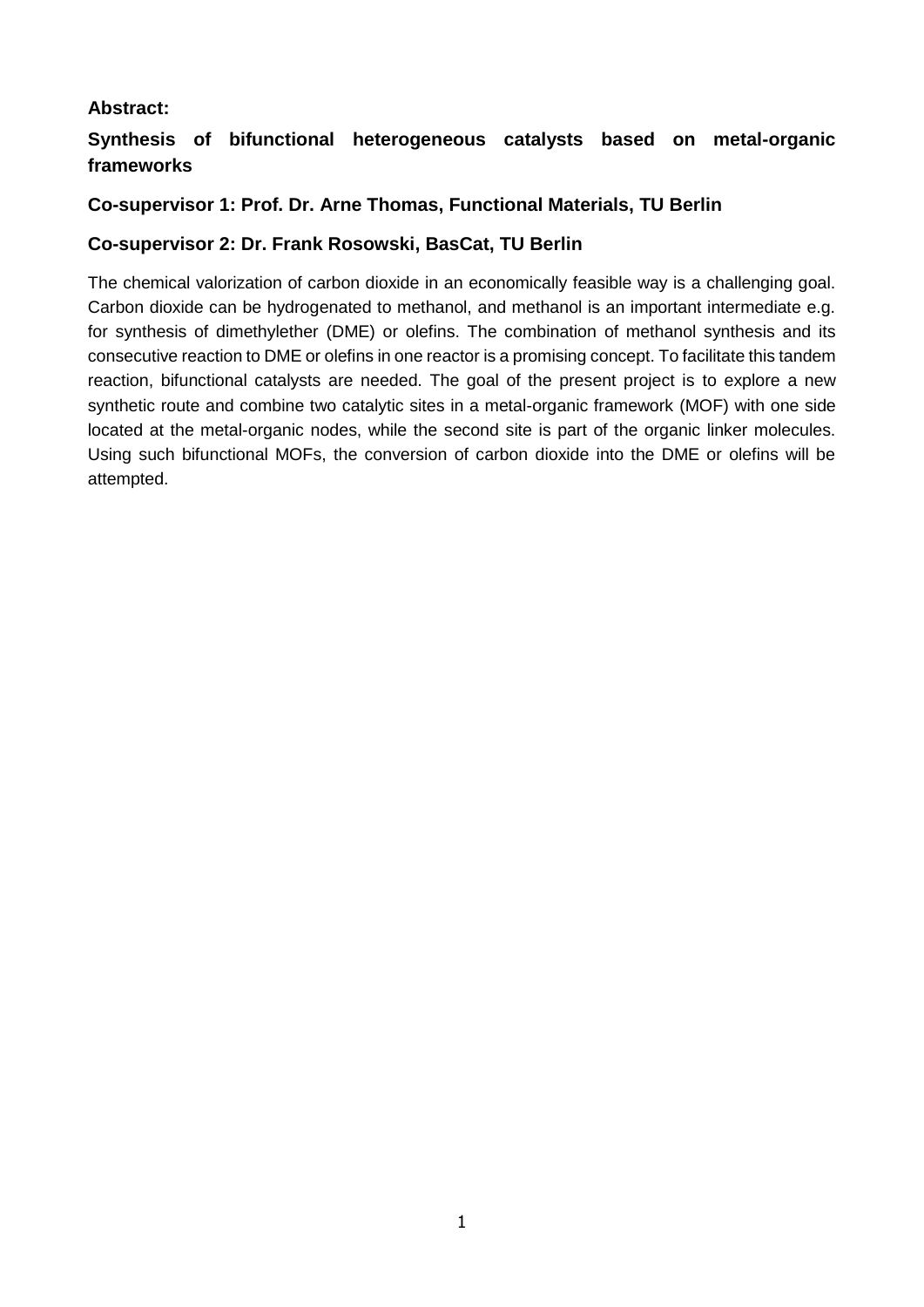## **Abstract:**

## **Synthesis of bifunctional heterogeneous catalysts based on metal-organic frameworks**

## **Co-supervisor 1: Prof. Dr. Arne Thomas, Functional Materials, TU Berlin**

## **Co-supervisor 2: Dr. Frank Rosowski, BasCat, TU Berlin**

The chemical valorization of carbon dioxide in an economically feasible way is a challenging goal. Carbon dioxide can be hydrogenated to methanol, and methanol is an important intermediate e.g. for synthesis of dimethylether (DME) or olefins. The combination of methanol synthesis and its consecutive reaction to DME or olefins in one reactor is a promising concept. To facilitate this tandem reaction, bifunctional catalysts are needed. The goal of the present project is to explore a new synthetic route and combine two catalytic sites in a metal-organic framework (MOF) with one side located at the metal-organic nodes, while the second site is part of the organic linker molecules. Using such bifunctional MOFs, the conversion of carbon dioxide into the DME or olefins will be attempted.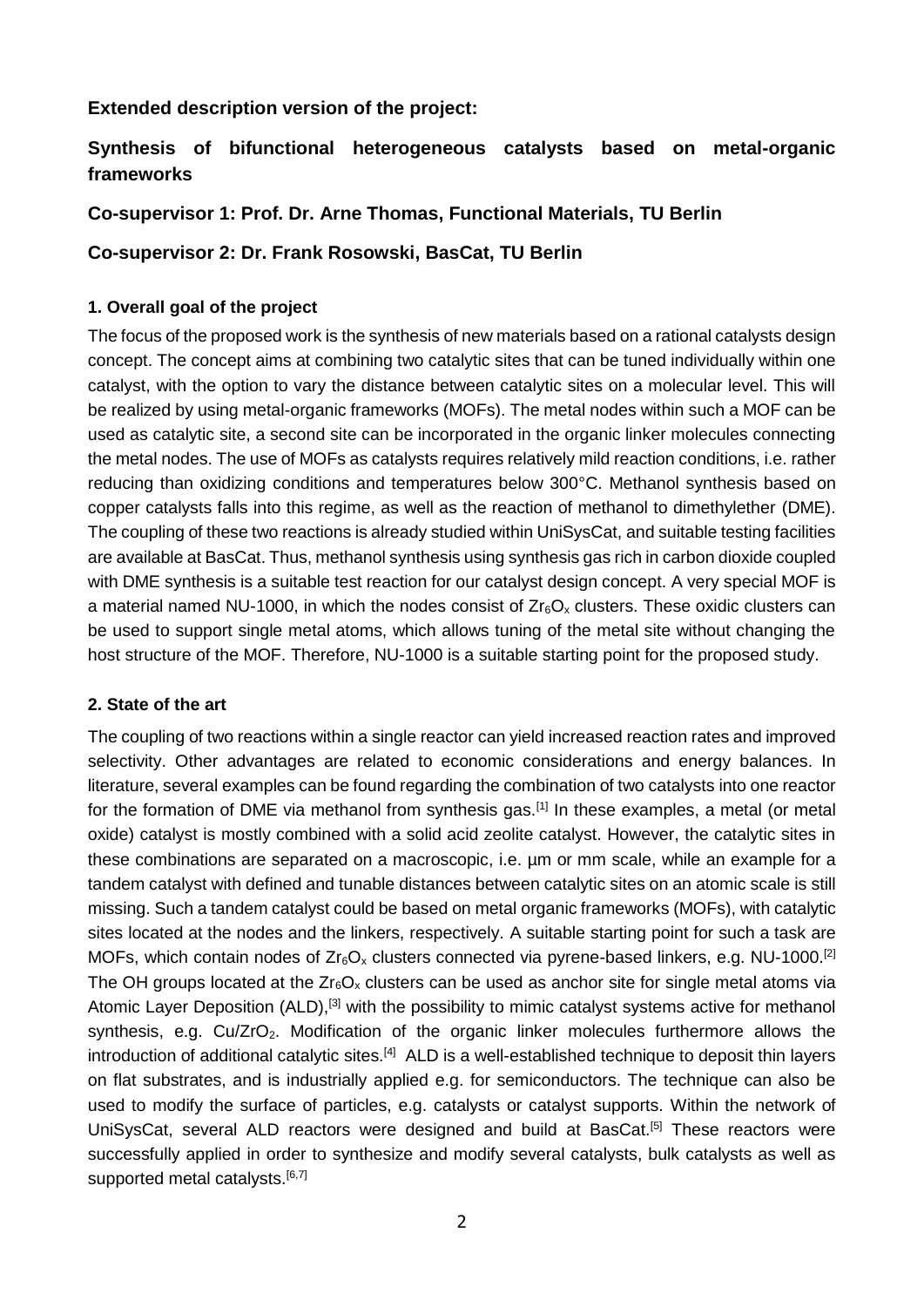## **Extended description version of the project:**

# **Synthesis of bifunctional heterogeneous catalysts based on metal-organic frameworks**

**Co-supervisor 1: Prof. Dr. Arne Thomas, Functional Materials, TU Berlin**

**Co-supervisor 2: Dr. Frank Rosowski, BasCat, TU Berlin**

## **1. Overall goal of the project**

The focus of the proposed work is the synthesis of new materials based on a rational catalysts design concept. The concept aims at combining two catalytic sites that can be tuned individually within one catalyst, with the option to vary the distance between catalytic sites on a molecular level. This will be realized by using metal-organic frameworks (MOFs). The metal nodes within such a MOF can be used as catalytic site, a second site can be incorporated in the organic linker molecules connecting the metal nodes. The use of MOFs as catalysts requires relatively mild reaction conditions, i.e. rather reducing than oxidizing conditions and temperatures below 300°C. Methanol synthesis based on copper catalysts falls into this regime, as well as the reaction of methanol to dimethylether (DME). The coupling of these two reactions is already studied within UniSysCat, and suitable testing facilities are available at BasCat. Thus, methanol synthesis using synthesis gas rich in carbon dioxide coupled with DME synthesis is a suitable test reaction for our catalyst design concept. A very special MOF is a material named NU-1000, in which the nodes consist of  $Z_{r6}O_x$  clusters. These oxidic clusters can be used to support single metal atoms, which allows tuning of the metal site without changing the host structure of the MOF. Therefore, NU-1000 is a suitable starting point for the proposed study.

### **2. State of the art**

The coupling of two reactions within a single reactor can yield increased reaction rates and improved selectivity. Other advantages are related to economic considerations and energy balances. In literature, several examples can be found regarding the combination of two catalysts into one reactor for the formation of DME via methanol from synthesis gas.<sup>[1]</sup> In these examples, a metal (or metal oxide) catalyst is mostly combined with a solid acid zeolite catalyst. However, the catalytic sites in these combinations are separated on a macroscopic, i.e. µm or mm scale, while an example for a tandem catalyst with defined and tunable distances between catalytic sites on an atomic scale is still missing. Such a tandem catalyst could be based on metal organic frameworks (MOFs), with catalytic sites located at the nodes and the linkers, respectively. A suitable starting point for such a task are MOFs, which contain nodes of  $Zr_6O_x$  clusters connected via pyrene-based linkers, e.g. NU-1000.<sup>[2]</sup> The OH groups located at the  $Zr_6O_x$  clusters can be used as anchor site for single metal atoms via Atomic Layer Deposition (ALD),<sup>[3]</sup> with the possibility to mimic catalyst systems active for methanol synthesis, e.g. Cu/ZrO<sub>2</sub>. Modification of the organic linker molecules furthermore allows the introduction of additional catalytic sites.<sup>[4]</sup> ALD is a well-established technique to deposit thin layers on flat substrates, and is industrially applied e.g. for semiconductors. The technique can also be used to modify the surface of particles, e.g. catalysts or catalyst supports. Within the network of UniSysCat, several ALD reactors were designed and build at BasCat.<sup>[5]</sup> These reactors were successfully applied in order to synthesize and modify several catalysts, bulk catalysts as well as supported metal catalysts.<sup>[6,7]</sup>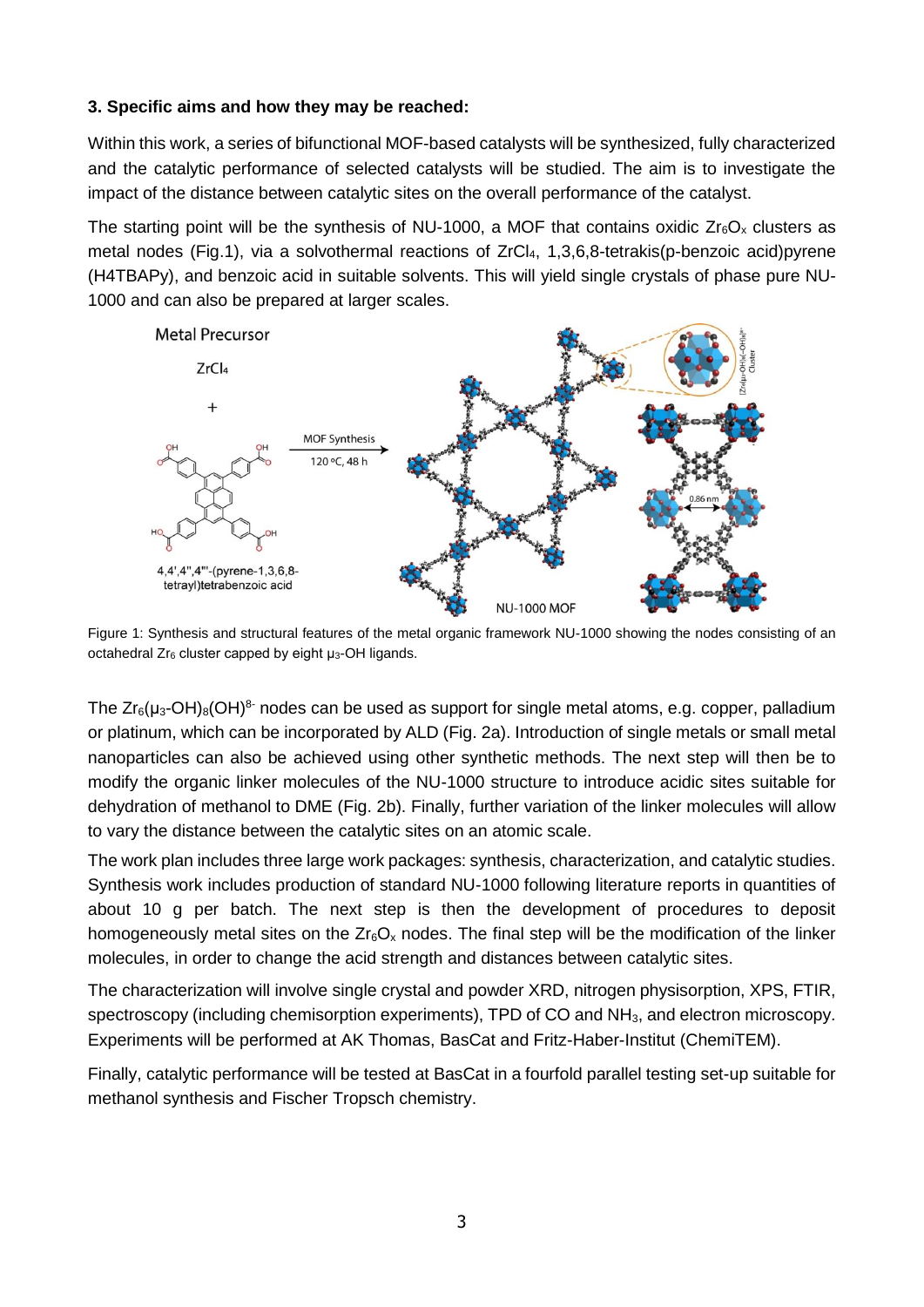#### **3. Specific aims and how they may be reached:**

Within this work, a series of bifunctional MOF-based catalysts will be synthesized, fully characterized and the catalytic performance of selected catalysts will be studied. The aim is to investigate the impact of the distance between catalytic sites on the overall performance of the catalyst.

The starting point will be the synthesis of NU-1000, a MOF that contains oxidic  $Zr_6O_x$  clusters as metal nodes (Fig.1), via a solvothermal reactions of ZrCl<sub>4</sub>, 1,3,6,8-tetrakis(p-benzoic acid)pyrene (H4TBAPy), and benzoic acid in suitable solvents. This will yield single crystals of phase pure NU-1000 and can also be prepared at larger scales.



Figure 1: Synthesis and structural features of the metal organic framework NU-1000 showing the nodes consisting of an octahedral Zr<sub>6</sub> cluster capped by eight μ<sub>3</sub>-OH ligands.

The  $Zr_6(\mu_3\text{-}OH)_8(OH)^8$  nodes can be used as support for single metal atoms, e.g. copper, palladium or platinum, which can be incorporated by ALD (Fig. 2a). Introduction of single metals or small metal nanoparticles can also be achieved using other synthetic methods. The next step will then be to modify the organic linker molecules of the NU-1000 structure to introduce acidic sites suitable for dehydration of methanol to DME (Fig. 2b). Finally, further variation of the linker molecules will allow to vary the distance between the catalytic sites on an atomic scale.

The work plan includes three large work packages: synthesis, characterization, and catalytic studies. Synthesis work includes production of standard NU-1000 following literature reports in quantities of about 10 g per batch. The next step is then the development of procedures to deposit homogeneously metal sites on the  $Zr_6O_x$  nodes. The final step will be the modification of the linker molecules, in order to change the acid strength and distances between catalytic sites.

The characterization will involve single crystal and powder XRD, nitrogen physisorption, XPS, FTIR, spectroscopy (including chemisorption experiments), TPD of CO and NH<sub>3</sub>, and electron microscopy. Experiments will be performed at AK Thomas, BasCat and Fritz-Haber-Institut (ChemiTEM).

Finally, catalytic performance will be tested at BasCat in a fourfold parallel testing set-up suitable for methanol synthesis and Fischer Tropsch chemistry.